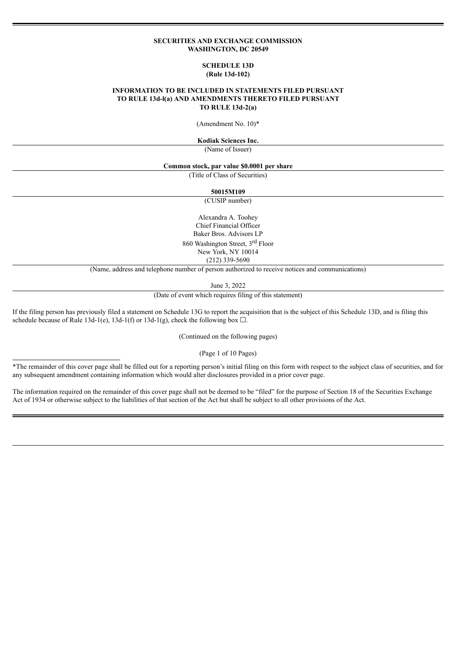#### **SECURITIES AND EXCHANGE COMMISSION WASHINGTON, DC 20549**

### **SCHEDULE 13D (Rule 13d-102)**

### **INFORMATION TO BE INCLUDED IN STATEMENTS FILED PURSUANT TO RULE 13d-l(a) AND AMENDMENTS THERETO FILED PURSUANT TO RULE 13d-2(a)**

(Amendment No. 10)\*

**Kodiak Sciences Inc.**

(Name of Issuer)

#### **Common stock, par value \$0.0001 per share**

(Title of Class of Securities)

**50015M109**

(CUSIP number)

Alexandra A. Toohey Chief Financial Officer Baker Bros. Advisors LP 860 Washington Street, 3<sup>rd</sup> Floor New York, NY 10014 (212) 339-5690

(Name, address and telephone number of person authorized to receive notices and communications)

June 3, 2022

(Date of event which requires filing of this statement)

If the filing person has previously filed a statement on Schedule 13G to report the acquisition that is the subject of this Schedule 13D, and is filing this schedule because of Rule 13d-1(e), 13d-1(f) or 13d-1(g), check the following box  $\Box$ .

(Continued on the following pages)

(Page 1 of 10 Pages)

\*The remainder of this cover page shall be filled out for a reporting person's initial filing on this form with respect to the subject class of securities, and for any subsequent amendment containing information which would alter disclosures provided in a prior cover page.

The information required on the remainder of this cover page shall not be deemed to be "filed" for the purpose of Section 18 of the Securities Exchange Act of 1934 or otherwise subject to the liabilities of that section of the Act but shall be subject to all other provisions of the Act.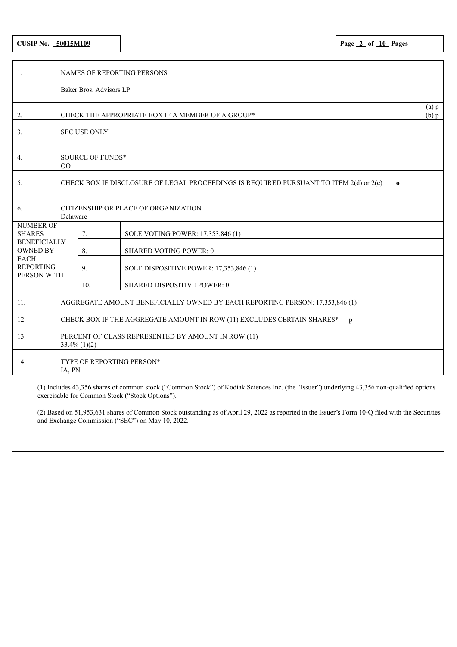# **CUSIP No. 50015M109 Page 2 of 10 Pages**

| 1.                                     | <b>NAMES OF REPORTING PERSONS</b>                                                                  |                         |                                                   |                      |  |  |  |  |  |
|----------------------------------------|----------------------------------------------------------------------------------------------------|-------------------------|---------------------------------------------------|----------------------|--|--|--|--|--|
|                                        |                                                                                                    | Baker Bros. Advisors LP |                                                   |                      |  |  |  |  |  |
| 2.                                     |                                                                                                    |                         | CHECK THE APPROPRIATE BOX IF A MEMBER OF A GROUP* | $(a)$ $p$<br>$(b)$ p |  |  |  |  |  |
| 3.                                     | <b>SEC USE ONLY</b>                                                                                |                         |                                                   |                      |  |  |  |  |  |
| 4.                                     | SOURCE OF FUNDS*<br>00                                                                             |                         |                                                   |                      |  |  |  |  |  |
| 5.                                     | CHECK BOX IF DISCLOSURE OF LEGAL PROCEEDINGS IS REQUIRED PURSUANT TO ITEM 2(d) or 2(e)<br>$\bf{0}$ |                         |                                                   |                      |  |  |  |  |  |
| 6.                                     | CITIZENSHIP OR PLACE OF ORGANIZATION<br>Delaware                                                   |                         |                                                   |                      |  |  |  |  |  |
| <b>NUMBER OF</b><br><b>SHARES</b>      |                                                                                                    | 7.                      | SOLE VOTING POWER: 17,353,846 (1)                 |                      |  |  |  |  |  |
| <b>BENEFICIALLY</b><br><b>OWNED BY</b> |                                                                                                    | 8.                      | <b>SHARED VOTING POWER: 0</b>                     |                      |  |  |  |  |  |
| <b>EACH</b><br><b>REPORTING</b>        |                                                                                                    | 9.                      | SOLE DISPOSITIVE POWER: 17,353,846 (1)            |                      |  |  |  |  |  |
| PERSON WITH                            |                                                                                                    | 10.                     | <b>SHARED DISPOSITIVE POWER: 0</b>                |                      |  |  |  |  |  |
| 11.                                    | AGGREGATE AMOUNT BENEFICIALLY OWNED BY EACH REPORTING PERSON: 17,353,846 (1)                       |                         |                                                   |                      |  |  |  |  |  |
| 12.                                    | CHECK BOX IF THE AGGREGATE AMOUNT IN ROW (11) EXCLUDES CERTAIN SHARES*<br>p                        |                         |                                                   |                      |  |  |  |  |  |
| 13.                                    | PERCENT OF CLASS REPRESENTED BY AMOUNT IN ROW (11)<br>$33.4\%$ (1)(2)                              |                         |                                                   |                      |  |  |  |  |  |
| 14.                                    | TYPE OF REPORTING PERSON*<br>IA, PN                                                                |                         |                                                   |                      |  |  |  |  |  |

(1) Includes 43,356 shares of common stock ("Common Stock") of Kodiak Sciences Inc. (the "Issuer") underlying 43,356 non-qualified options exercisable for Common Stock ("Stock Options").

(2) Based on 51,953,631 shares of Common Stock outstanding as of April 29, 2022 as reported in the Issuer's Form 10-Q filed with the Securities and Exchange Commission ("SEC") on May 10, 2022.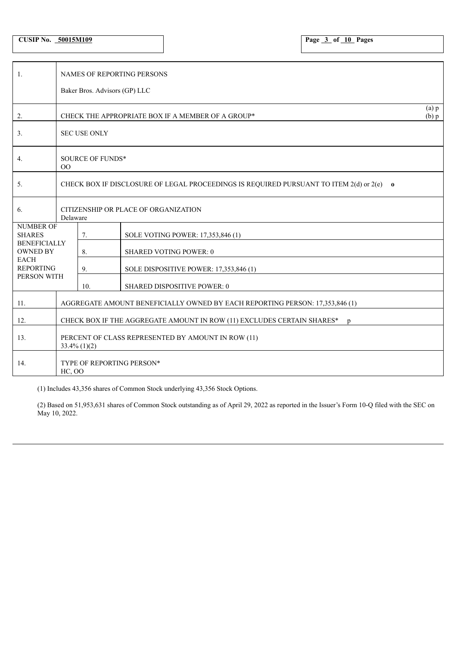**CUSIP No. 50015M109 Page 3 of 10 Pages**

| -1.                                    | <b>NAMES OF REPORTING PERSONS</b>                                                                      |     |                                                   |                        |  |  |  |
|----------------------------------------|--------------------------------------------------------------------------------------------------------|-----|---------------------------------------------------|------------------------|--|--|--|
|                                        | Baker Bros. Advisors (GP) LLC                                                                          |     |                                                   |                        |  |  |  |
| 2.                                     |                                                                                                        |     | CHECK THE APPROPRIATE BOX IF A MEMBER OF A GROUP* | $(a)$ $p$<br>$(b)$ $p$ |  |  |  |
| 3.                                     | <b>SEC USE ONLY</b>                                                                                    |     |                                                   |                        |  |  |  |
| 4.                                     | SOURCE OF FUNDS*<br>00                                                                                 |     |                                                   |                        |  |  |  |
| 5.                                     | CHECK BOX IF DISCLOSURE OF LEGAL PROCEEDINGS IS REQUIRED PURSUANT TO ITEM 2(d) or 2(e)<br>$\mathbf{o}$ |     |                                                   |                        |  |  |  |
| 6.                                     | CITIZENSHIP OR PLACE OF ORGANIZATION<br>Delaware                                                       |     |                                                   |                        |  |  |  |
| <b>NUMBER OF</b><br><b>SHARES</b>      |                                                                                                        | 7.  | SOLE VOTING POWER: 17,353,846 (1)                 |                        |  |  |  |
| <b>BENEFICIALLY</b><br><b>OWNED BY</b> |                                                                                                        | 8.  | <b>SHARED VOTING POWER: 0</b>                     |                        |  |  |  |
| <b>EACH</b><br><b>REPORTING</b>        |                                                                                                        | 9.  | SOLE DISPOSITIVE POWER: 17,353,846 (1)            |                        |  |  |  |
| PERSON WITH                            |                                                                                                        | 10. | SHARED DISPOSITIVE POWER: 0                       |                        |  |  |  |
| 11.                                    | AGGREGATE AMOUNT BENEFICIALLY OWNED BY EACH REPORTING PERSON: 17,353,846 (1)                           |     |                                                   |                        |  |  |  |
| 12.                                    | CHECK BOX IF THE AGGREGATE AMOUNT IN ROW (11) EXCLUDES CERTAIN SHARES*<br>$\mathbf{p}$                 |     |                                                   |                        |  |  |  |
| 13.                                    | PERCENT OF CLASS REPRESENTED BY AMOUNT IN ROW (11)<br>$33.4\%$ (1)(2)                                  |     |                                                   |                        |  |  |  |
| 14.                                    | TYPE OF REPORTING PERSON*<br><b>HC, OO</b>                                                             |     |                                                   |                        |  |  |  |

(1) Includes 43,356 shares of Common Stock underlying 43,356 Stock Options.

(2) Based on 51,953,631 shares of Common Stock outstanding as of April 29, 2022 as reported in the Issuer's Form 10-Q filed with the SEC on May 10, 2022.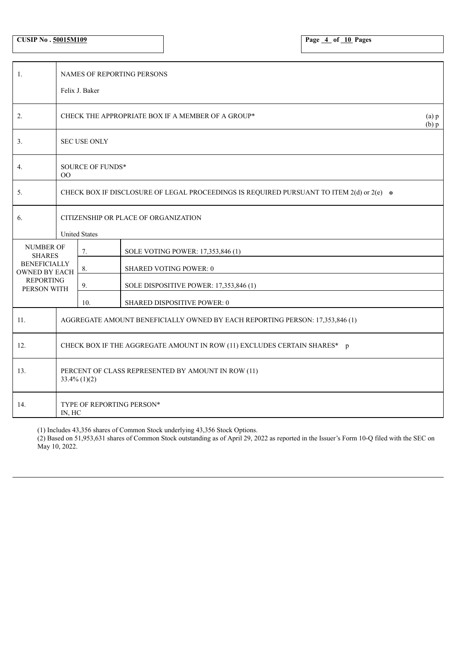| <b>CUSIP No. 50015M109</b> |  |
|----------------------------|--|
|----------------------------|--|

**CUSIP No . 50015M109 Page 4 of 10 Pages**

| 1.                                          | NAMES OF REPORTING PERSONS                                                               |                     |                                                   |                        |  |  |  |  |
|---------------------------------------------|------------------------------------------------------------------------------------------|---------------------|---------------------------------------------------|------------------------|--|--|--|--|
|                                             |                                                                                          | Felix J. Baker      |                                                   |                        |  |  |  |  |
| 2.                                          |                                                                                          |                     | CHECK THE APPROPRIATE BOX IF A MEMBER OF A GROUP* | $(a)$ $p$<br>$(b)$ $p$ |  |  |  |  |
| 3.                                          |                                                                                          | <b>SEC USE ONLY</b> |                                                   |                        |  |  |  |  |
| 4.                                          | SOURCE OF FUNDS*<br>$00\,$                                                               |                     |                                                   |                        |  |  |  |  |
| 5.                                          | CHECK BOX IF DISCLOSURE OF LEGAL PROCEEDINGS IS REQUIRED PURSUANT TO ITEM 2(d) or 2(e) o |                     |                                                   |                        |  |  |  |  |
| 6.                                          | CITIZENSHIP OR PLACE OF ORGANIZATION<br><b>United States</b>                             |                     |                                                   |                        |  |  |  |  |
| <b>NUMBER OF</b><br><b>SHARES</b>           |                                                                                          | 7.                  | SOLE VOTING POWER: 17,353,846 (1)                 |                        |  |  |  |  |
| <b>BENEFICIALLY</b><br><b>OWNED BY EACH</b> |                                                                                          | 8.                  | SHARED VOTING POWER: 0                            |                        |  |  |  |  |
| <b>REPORTING</b><br>PERSON WITH             |                                                                                          | 9.                  | SOLE DISPOSITIVE POWER: 17,353,846 (1)            |                        |  |  |  |  |
|                                             |                                                                                          | 10.                 | SHARED DISPOSITIVE POWER: 0                       |                        |  |  |  |  |
| 11.                                         | AGGREGATE AMOUNT BENEFICIALLY OWNED BY EACH REPORTING PERSON: 17,353,846 (1)             |                     |                                                   |                        |  |  |  |  |
| 12.                                         | CHECK BOX IF THE AGGREGATE AMOUNT IN ROW (11) EXCLUDES CERTAIN SHARES* p                 |                     |                                                   |                        |  |  |  |  |
| 13.                                         | PERCENT OF CLASS REPRESENTED BY AMOUNT IN ROW (11)<br>$33.4\%$ (1)(2)                    |                     |                                                   |                        |  |  |  |  |
| 14.                                         | TYPE OF REPORTING PERSON*<br>IN, HC                                                      |                     |                                                   |                        |  |  |  |  |

(1) Includes 43,356 shares of Common Stock underlying 43,356 Stock Options.

(2) Based on 51,953,631 shares of Common Stock outstanding as of April 29, 2022 as reported in the Issuer's Form 10-Q filed with the SEC on May 10, 2022.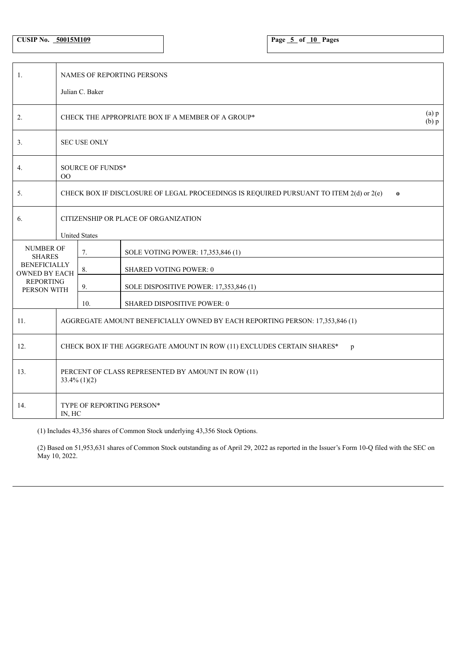| <b>CUSIP No.</b> | 50015M109 |
|------------------|-----------|
|------------------|-----------|

| 1.                                                                             | NAMES OF REPORTING PERSONS<br>Julian C. Baker                                                      |                                                                             |                                        |  |  |  |  |
|--------------------------------------------------------------------------------|----------------------------------------------------------------------------------------------------|-----------------------------------------------------------------------------|----------------------------------------|--|--|--|--|
| 2.                                                                             |                                                                                                    | $(a)$ $p$<br>CHECK THE APPROPRIATE BOX IF A MEMBER OF A GROUP*<br>$(b)$ $p$ |                                        |  |  |  |  |
| 3.                                                                             | <b>SEC USE ONLY</b>                                                                                |                                                                             |                                        |  |  |  |  |
| 4.                                                                             | SOURCE OF FUNDS*<br>$00\,$                                                                         |                                                                             |                                        |  |  |  |  |
| 5.                                                                             | CHECK BOX IF DISCLOSURE OF LEGAL PROCEEDINGS IS REQUIRED PURSUANT TO ITEM 2(d) or 2(e)<br>$\bf{0}$ |                                                                             |                                        |  |  |  |  |
| 6.                                                                             | CITIZENSHIP OR PLACE OF ORGANIZATION<br><b>United States</b>                                       |                                                                             |                                        |  |  |  |  |
| <b>NUMBER OF</b><br><b>SHARES</b>                                              |                                                                                                    | 7.                                                                          | SOLE VOTING POWER: 17,353,846 (1)      |  |  |  |  |
| <b>BENEFICIALLY</b><br><b>OWNED BY EACH</b><br><b>REPORTING</b><br>PERSON WITH |                                                                                                    | 8.                                                                          | <b>SHARED VOTING POWER: 0</b>          |  |  |  |  |
|                                                                                |                                                                                                    | 9.                                                                          | SOLE DISPOSITIVE POWER: 17,353,846 (1) |  |  |  |  |
|                                                                                |                                                                                                    | 10.                                                                         | SHARED DISPOSITIVE POWER: 0            |  |  |  |  |
| 11.                                                                            | AGGREGATE AMOUNT BENEFICIALLY OWNED BY EACH REPORTING PERSON: 17,353,846 (1)                       |                                                                             |                                        |  |  |  |  |
| 12.                                                                            | CHECK BOX IF THE AGGREGATE AMOUNT IN ROW (11) EXCLUDES CERTAIN SHARES*<br>p                        |                                                                             |                                        |  |  |  |  |
| 13.                                                                            | PERCENT OF CLASS REPRESENTED BY AMOUNT IN ROW (11)<br>$33.4\%$ (1)(2)                              |                                                                             |                                        |  |  |  |  |
| 14.                                                                            | <b>TYPE OF REPORTING PERSON*</b><br>IN, HC                                                         |                                                                             |                                        |  |  |  |  |

(1) Includes 43,356 shares of Common Stock underlying 43,356 Stock Options.

(2) Based on 51,953,631 shares of Common Stock outstanding as of April 29, 2022 as reported in the Issuer's Form 10-Q filed with the SEC on May 10, 2022.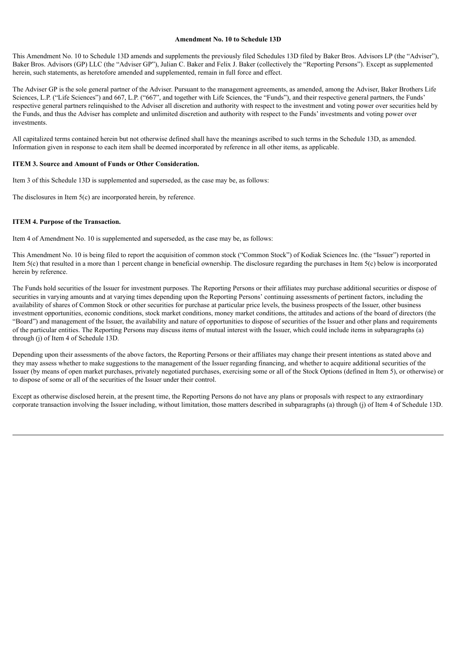#### **Amendment No. 10 to Schedule 13D**

This Amendment No. 10 to Schedule 13D amends and supplements the previously filed Schedules 13D filed by Baker Bros. Advisors LP (the "Adviser"), Baker Bros. Advisors (GP) LLC (the "Adviser GP"), Julian C. Baker and Felix J. Baker (collectively the "Reporting Persons"). Except as supplemented herein, such statements, as heretofore amended and supplemented, remain in full force and effect.

The Adviser GP is the sole general partner of the Adviser. Pursuant to the management agreements, as amended, among the Adviser, Baker Brothers Life Sciences, L.P. ("Life Sciences") and 667, L.P. ("667", and together with Life Sciences, the "Funds"), and their respective general partners, the Funds' respective general partners relinquished to the Adviser all discretion and authority with respect to the investment and voting power over securities held by the Funds, and thus the Adviser has complete and unlimited discretion and authority with respect to the Funds' investments and voting power over investments.

All capitalized terms contained herein but not otherwise defined shall have the meanings ascribed to such terms in the Schedule 13D, as amended. Information given in response to each item shall be deemed incorporated by reference in all other items, as applicable.

### **ITEM 3. Source and Amount of Funds or Other Consideration.**

Item 3 of this Schedule 13D is supplemented and superseded, as the case may be, as follows:

The disclosures in Item 5(c) are incorporated herein, by reference.

### **ITEM 4. Purpose of the Transaction.**

Item 4 of Amendment No. 10 is supplemented and superseded, as the case may be, as follows:

This Amendment No. 10 is being filed to report the acquisition of common stock ("Common Stock") of Kodiak Sciences Inc. (the "Issuer") reported in Item 5(c) that resulted in a more than 1 percent change in beneficial ownership. The disclosure regarding the purchases in Item 5(c) below is incorporated herein by reference.

The Funds hold securities of the Issuer for investment purposes. The Reporting Persons or their affiliates may purchase additional securities or dispose of securities in varying amounts and at varying times depending upon the Reporting Persons' continuing assessments of pertinent factors, including the availability of shares of Common Stock or other securities for purchase at particular price levels, the business prospects of the Issuer, other business investment opportunities, economic conditions, stock market conditions, money market conditions, the attitudes and actions of the board of directors (the "Board") and management of the Issuer, the availability and nature of opportunities to dispose of securities of the Issuer and other plans and requirements of the particular entities. The Reporting Persons may discuss items of mutual interest with the Issuer, which could include items in subparagraphs (a) through (j) of Item 4 of Schedule 13D.

Depending upon their assessments of the above factors, the Reporting Persons or their affiliates may change their present intentions as stated above and they may assess whether to make suggestions to the management of the Issuer regarding financing, and whether to acquire additional securities of the Issuer (by means of open market purchases, privately negotiated purchases, exercising some or all of the Stock Options (defined in Item 5), or otherwise) or to dispose of some or all of the securities of the Issuer under their control.

Except as otherwise disclosed herein, at the present time, the Reporting Persons do not have any plans or proposals with respect to any extraordinary corporate transaction involving the Issuer including, without limitation, those matters described in subparagraphs (a) through (j) of Item 4 of Schedule 13D.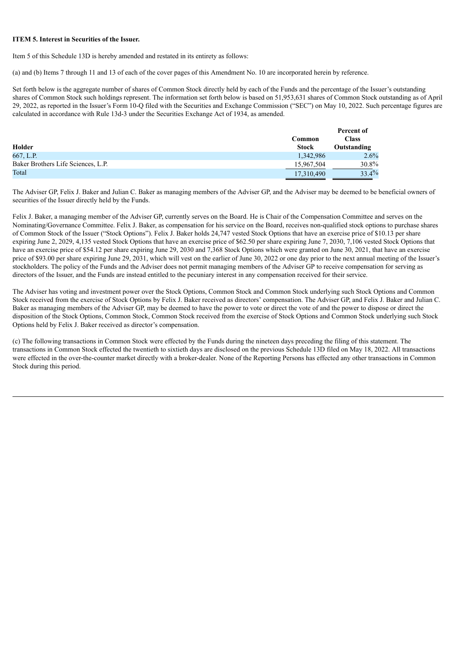#### **ITEM 5. Interest in Securities of the Issuer.**

Item 5 of this Schedule 13D is hereby amended and restated in its entirety as follows:

(a) and (b) Items 7 through 11 and 13 of each of the cover pages of this Amendment No. 10 are incorporated herein by reference.

Set forth below is the aggregate number of shares of Common Stock directly held by each of the Funds and the percentage of the Issuer's outstanding shares of Common Stock such holdings represent. The information set forth below is based on 51,953,631 shares of Common Stock outstanding as of April 29, 2022, as reported in the Issuer's Form 10-Q filed with the Securities and Exchange Commission ("SEC") on May 10, 2022. Such percentage figures are calculated in accordance with Rule 13d-3 under the Securities Exchange Act of 1934, as amended.

|                                    |              | Percent of   |
|------------------------------------|--------------|--------------|
|                                    | Common       | <b>Class</b> |
| Holder                             | <b>Stock</b> | Outstanding  |
| 667, L.P.                          | 1,342,986    | 2.6%         |
| Baker Brothers Life Sciences, L.P. | 15,967,504   | $30.8\%$     |
| Total                              | 17,310,490   | 33.4%        |

The Adviser GP, Felix J. Baker and Julian C. Baker as managing members of the Adviser GP, and the Adviser may be deemed to be beneficial owners of securities of the Issuer directly held by the Funds.

Felix J. Baker, a managing member of the Adviser GP, currently serves on the Board. He is Chair of the Compensation Committee and serves on the Nominating/Governance Committee. Felix J. Baker, as compensation for his service on the Board, receives non-qualified stock options to purchase shares of Common Stock of the Issuer ("Stock Options"). Felix J. Baker holds 24,747 vested Stock Options that have an exercise price of \$10.13 per share expiring June 2, 2029, 4,135 vested Stock Options that have an exercise price of \$62.50 per share expiring June 7, 2030, 7,106 vested Stock Options that have an exercise price of \$54.12 per share expiring June 29, 2030 and 7,368 Stock Options which were granted on June 30, 2021, that have an exercise price of \$93.00 per share expiring June 29, 2031, which will vest on the earlier of June 30, 2022 or one day prior to the next annual meeting of the Issuer's stockholders. The policy of the Funds and the Adviser does not permit managing members of the Adviser GP to receive compensation for serving as directors of the Issuer, and the Funds are instead entitled to the pecuniary interest in any compensation received for their service.

The Adviser has voting and investment power over the Stock Options, Common Stock and Common Stock underlying such Stock Options and Common Stock received from the exercise of Stock Options by Felix J. Baker received as directors' compensation. The Adviser GP, and Felix J. Baker and Julian C. Baker as managing members of the Adviser GP, may be deemed to have the power to vote or direct the vote of and the power to dispose or direct the disposition of the Stock Options, Common Stock, Common Stock received from the exercise of Stock Options and Common Stock underlying such Stock Options held by Felix J. Baker received as director's compensation.

(c) The following transactions in Common Stock were effected by the Funds during the nineteen days preceding the filing of this statement. The transactions in Common Stock effected the twentieth to sixtieth days are disclosed on the previous Schedule 13D filed on May 18, 2022. All transactions were effected in the over-the-counter market directly with a broker-dealer. None of the Reporting Persons has effected any other transactions in Common Stock during this period.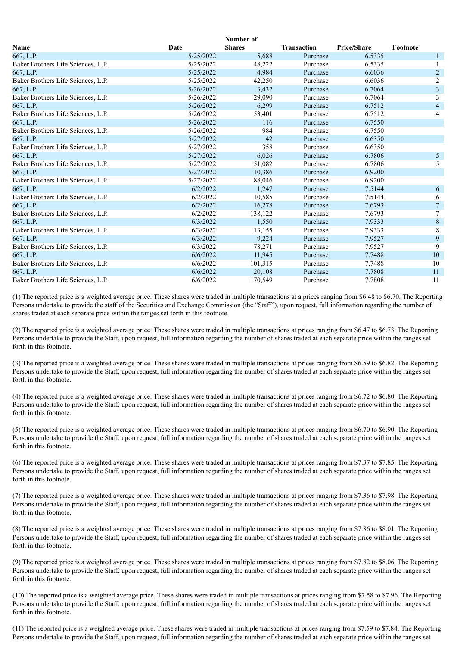| Number of                          |           |               |                    |                    |                         |
|------------------------------------|-----------|---------------|--------------------|--------------------|-------------------------|
| <b>Name</b>                        | Date      | <b>Shares</b> | <b>Transaction</b> | <b>Price/Share</b> | Footnote                |
| 667, L.P.                          | 5/25/2022 | 5,688         | Purchase           | 6.5335             | $\mathbf{1}$            |
| Baker Brothers Life Sciences, L.P. | 5/25/2022 | 48,222        | Purchase           | 6.5335             |                         |
| 667, L.P.                          | 5/25/2022 | 4,984         | Purchase           | 6.6036             | $\sqrt{2}$              |
| Baker Brothers Life Sciences, L.P. | 5/25/2022 | 42,250        | Purchase           | 6.6036             | $\overline{c}$          |
| 667, L.P.                          | 5/26/2022 | 3,432         | Purchase           | 6.7064             | $\overline{\mathbf{3}}$ |
| Baker Brothers Life Sciences, L.P. | 5/26/2022 | 29,090        | Purchase           | 6.7064             | $\overline{3}$          |
| 667, L.P.                          | 5/26/2022 | 6,299         | Purchase           | 6.7512             | $\overline{4}$          |
| Baker Brothers Life Sciences, L.P. | 5/26/2022 | 53,401        | Purchase           | 6.7512             | 4                       |
| 667, L.P.                          | 5/26/2022 | 116           | Purchase           | 6.7550             |                         |
| Baker Brothers Life Sciences, L.P. | 5/26/2022 | 984           | Purchase           | 6.7550             |                         |
| 667, L.P.                          | 5/27/2022 | 42            | Purchase           | 6.6350             |                         |
| Baker Brothers Life Sciences, L.P. | 5/27/2022 | 358           | Purchase           | 6.6350             |                         |
| 667, L.P.                          | 5/27/2022 | 6,026         | Purchase           | 6.7806             | 5 <sub>5</sub>          |
| Baker Brothers Life Sciences, L.P. | 5/27/2022 | 51,082        | Purchase           | 6.7806             | 5                       |
| 667, L.P.                          | 5/27/2022 | 10,386        | Purchase           | 6.9200             |                         |
| Baker Brothers Life Sciences, L.P. | 5/27/2022 | 88,046        | Purchase           | 6.9200             |                         |
| 667, L.P.                          | 6/2/2022  | 1,247         | Purchase           | 7.5144             | 6                       |
| Baker Brothers Life Sciences, L.P. | 6/2/2022  | 10,585        | Purchase           | 7.5144             | 6                       |
| 667, L.P.                          | 6/2/2022  | 16,278        | Purchase           | 7.6793             | $\overline{7}$          |
| Baker Brothers Life Sciences, L.P. | 6/2/2022  | 138,122       | Purchase           | 7.6793             | $\tau$                  |
| 667, L.P.                          | 6/3/2022  | 1,550         | Purchase           | 7.9333             | $\,8\,$                 |
| Baker Brothers Life Sciences, L.P. | 6/3/2022  | 13,155        | Purchase           | 7.9333             | $\overline{\bf 8}$      |
| 667, L.P.                          | 6/3/2022  | 9,224         | Purchase           | 7.9527             | 9                       |
| Baker Brothers Life Sciences, L.P. | 6/3/2022  | 78,271        | Purchase           | 7.9527             | 9                       |
| 667, L.P.                          | 6/6/2022  | 11,945        | Purchase           | 7.7488             | 10                      |
| Baker Brothers Life Sciences, L.P. | 6/6/2022  | 101,315       | Purchase           | 7.7488             | 10                      |
| 667, L.P.                          | 6/6/2022  | 20,108        | Purchase           | 7.7808             | 11                      |
| Baker Brothers Life Sciences, L.P. | 6/6/2022  | 170,549       | Purchase           | 7.7808             | 11                      |

(1) The reported price is a weighted average price. These shares were traded in multiple transactions at a prices ranging from \$6.48 to \$6.70. The Reporting Persons undertake to provide the staff of the Securities and Exchange Commission (the "Staff"), upon request, full information regarding the number of shares traded at each separate price within the ranges set forth in this footnote.

(2) The reported price is a weighted average price. These shares were traded in multiple transactions at prices ranging from \$6.47 to \$6.73. The Reporting Persons undertake to provide the Staff, upon request, full information regarding the number of shares traded at each separate price within the ranges set forth in this footnote.

(3) The reported price is a weighted average price. These shares were traded in multiple transactions at prices ranging from \$6.59 to \$6.82. The Reporting Persons undertake to provide the Staff, upon request, full information regarding the number of shares traded at each separate price within the ranges set forth in this footnote.

(4) The reported price is a weighted average price. These shares were traded in multiple transactions at prices ranging from \$6.72 to \$6.80. The Reporting Persons undertake to provide the Staff, upon request, full information regarding the number of shares traded at each separate price within the ranges set forth in this footnote.

(5) The reported price is a weighted average price. These shares were traded in multiple transactions at prices ranging from \$6.70 to \$6.90. The Reporting Persons undertake to provide the Staff, upon request, full information regarding the number of shares traded at each separate price within the ranges set forth in this footnote.

(6) The reported price is a weighted average price. These shares were traded in multiple transactions at prices ranging from \$7.37 to \$7.85. The Reporting Persons undertake to provide the Staff, upon request, full information regarding the number of shares traded at each separate price within the ranges set forth in this footnote.

(7) The reported price is a weighted average price. These shares were traded in multiple transactions at prices ranging from \$7.36 to \$7.98. The Reporting Persons undertake to provide the Staff, upon request, full information regarding the number of shares traded at each separate price within the ranges set forth in this footnote.

(8) The reported price is a weighted average price. These shares were traded in multiple transactions at prices ranging from \$7.86 to \$8.01. The Reporting Persons undertake to provide the Staff, upon request, full information regarding the number of shares traded at each separate price within the ranges set forth in this footnote.

(9) The reported price is a weighted average price. These shares were traded in multiple transactions at prices ranging from \$7.82 to \$8.06. The Reporting Persons undertake to provide the Staff, upon request, full information regarding the number of shares traded at each separate price within the ranges set forth in this footnote.

(10) The reported price is a weighted average price. These shares were traded in multiple transactions at prices ranging from \$7.58 to \$7.96. The Reporting Persons undertake to provide the Staff, upon request, full information regarding the number of shares traded at each separate price within the ranges set forth in this footnote.

(11) The reported price is a weighted average price. These shares were traded in multiple transactions at prices ranging from \$7.59 to \$7.84. The Reporting Persons undertake to provide the Staff, upon request, full information regarding the number of shares traded at each separate price within the ranges set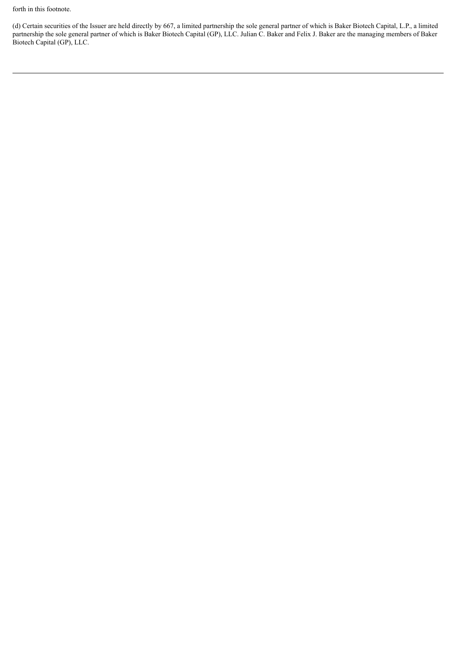forth in this footnote.

(d) Certain securities of the Issuer are held directly by 667, a limited partnership the sole general partner of which is Baker Biotech Capital, L.P., a limited partnership the sole general partner of which is Baker Biotech Capital (GP), LLC. Julian C. Baker and Felix J. Baker are the managing members of Baker Biotech Capital (GP), LLC.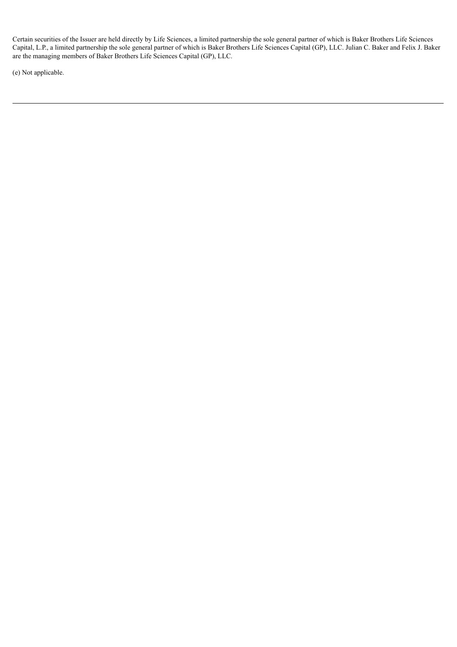Certain securities of the Issuer are held directly by Life Sciences, a limited partnership the sole general partner of which is Baker Brothers Life Sciences Capital, L.P., a limited partnership the sole general partner of which is Baker Brothers Life Sciences Capital (GP), LLC. Julian C. Baker and Felix J. Baker are the managing members of Baker Brothers Life Sciences Capital (GP), LLC.

(e) Not applicable.